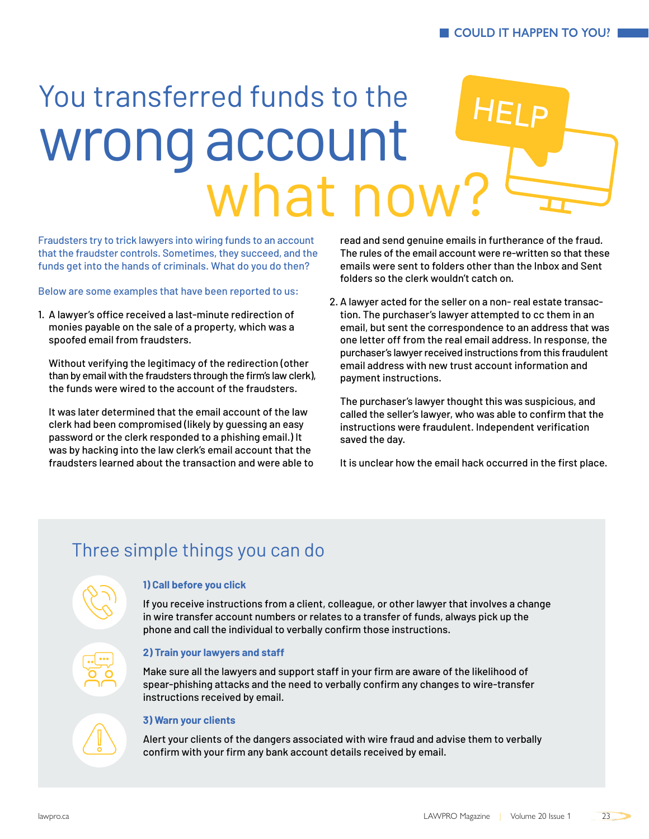# You transferred funds to the wrong account what now HELP

Fraudsters try to trick lawyers into wiring funds to an account that the fraudster controls. Sometimes, they succeed, and the funds get into the hands of criminals. What do you do then?

Below are some examples that have been reported to us:

1. A lawyer's office received a last-minute redirection of monies payable on the sale of a property, which was a spoofed email from fraudsters.

Without verifying the legitimacy of the redirection (other than by email with the fraudsters through the firm's law clerk), the funds were wired to the account of the fraudsters.

It was later determined that the email account of the law clerk had been compromised (likely by guessing an easy password or the clerk responded to a phishing email.) It was by hacking into the law clerk's email account that the fraudsters learned about the transaction and were able to read and send genuine emails in furtherance of the fraud. The rules of the email account were re-written so that these emails were sent to folders other than the Inbox and Sent folders so the clerk wouldn't catch on.

2. A lawyer acted for the seller on a non- real estate transaction. The purchaser's lawyer attempted to cc them in an email, but sent the correspondence to an address that was one letter off from the real email address. In response, the purchaser's lawyer received instructions from this fraudulent email address with new trust account information and payment instructions.

The purchaser's lawyer thought this was suspicious, and called the seller's lawyer, who was able to confirm that the instructions were fraudulent. Independent verification saved the day.

It is unclear how the email hack occurred in the first place.

# Three simple things you can do

### **1) Call before you click**

If you receive instructions from a client, colleague, or other lawyer that involves a change in wire transfer account numbers or relates to a transfer of funds, always pick up the phone and call the individual to verbally confirm those instructions.

#### **2) Train your lawyers and staff**

Make sure all the lawyers and support staff in your firm are aware of the likelihood of spear-phishing attacks and the need to verbally confirm any changes to wire-transfer instructions received by email.

#### **3) Warn your clients**

Alert your clients of the dangers associated with wire fraud and advise them to verbally confirm with your firm any bank account details received by email.